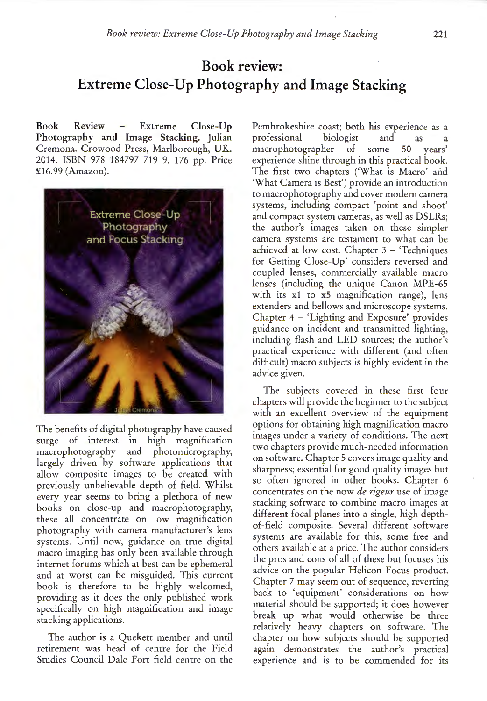## **Book review: Extreme Close-Up Photography and Image Stacking**

Book Review - Extreme Close-Up Photography and Image Stacking. Julian Cremona. Crowood Press, Marlborough, UK. 2014. ISBN 978 184797 719 9. 176 pp. Price £16.99 (Amazon).



The benefits of digital photography have caused surge of interest in high magnification macrophotography and photomicrography, largely driven by software applications that allow composite images to be created with previously unbelievable depth of field. Whilst every year seems to bring a plethora of new books on close-up and macrophotography, these all concentrate on low magnification photography with camera manufacturer's lens systems. Until now, guidance on true digital macro imaging has only been available through internet forums which at best can be ephemeral and at worst can be misguided. This current book is therefore to be highly welcomed, providing as it does the only published work specifically on high magnification and image stacking applications.

The author is a Quekett member and until retirement was head of centre for the Field Studies Council Dale Fort field centre on the

Pembrokeshire coast; both his experience as <sup>a</sup> professional biologist and as <sup>a</sup> macrophotographer of some 50 years experience shine through in this practical book. The first two chapters ('What is Macro' and 'What Camera is Best') provide an introduction to macrophotography and cover modern camera systems, including compact 'point and shoot' and compact system cameras, as well as DSLRs; the author's images taken on these simpler camera systems are testament to what can be achieved at low cost. Chapter  $3 -$  Techniques for Getting Close-Up' considers reversed and coupled lenses, commercially available macro lenses (including the unique Canon MPE-65 with its x1 to x5 magnification range), lens extenders and bellows and microscope systems. Chapter 4 - 'Lighting and Exposure' provides guidance on incident and transmitted lighting, including flash and LED sources; the author's practical experience with different (and often difficult) macro subjects is highly evident in the advice given.

The subjects covered in these first four chapters will provide the beginner to the subject with an excellent overview of the equipment options for obtaining high magnification macro images under a variety of conditions. The next two chapters provide much-needed information on software. Chapter 5 covers image quality and sharpness; essential for good quality images but so often ignored in other books. Chapter 6 concentrates on the now *de rigeur* use of image stacking software to combine macro images at different focal planes into a single, high depthof-field composite. Several different software systems are available for this, some free and others available at a price. The author considers the pros and cons of all of these but focuses his advice on the popular Helicon Focus product. Chapter 7 may seem out of sequence, reverting back to 'equipment' considerations on how material should be supported; it does however break up what would otherwise be three relatively heavy chapters on software. Th<sup>e</sup> chapter on how subjects should be supported again demonstrates the author's practical experience and is to be commended for its